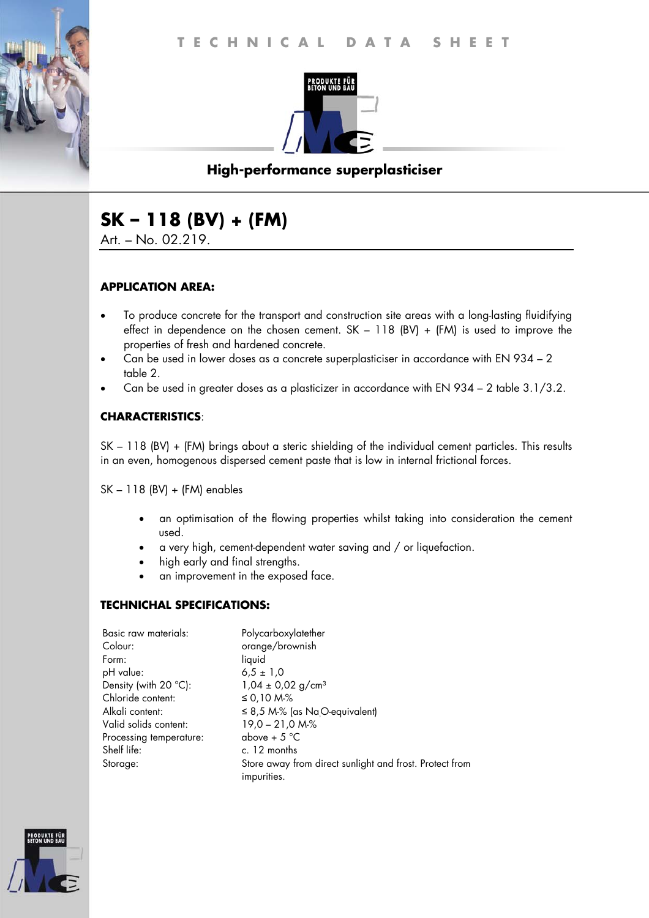

# **High-performance superplasticiser**

# **SK – 118 (BV) + (FM)**

Art. – No. 02.219.

#### **APPLICATION AREA:**

- To produce concrete for the transport and construction site areas with a long-lasting fluidifying effect in dependence on the chosen cement.  $SK - 118$  (BV) + (FM) is used to improve the properties of fresh and hardened concrete.
- Can be used in lower doses as a concrete superplasticiser in accordance with EN 934 2 table 2.
- Can be used in greater doses as a plasticizer in accordance with EN 934 2 table 3.1/3.2.

## **CHARACTERISTICS**:

SK – 118 (BV) + (FM) brings about a steric shielding of the individual cement particles. This results in an even, homogenous dispersed cement paste that is low in internal frictional forces.

SK – 118 (BV) + (FM) enables

- an optimisation of the flowing properties whilst taking into consideration the cement used.
- a very high, cement-dependent water saving and / or liquefaction.
- high early and final strengths.
- an improvement in the exposed face.

#### **TECHNICHAL SPECIFICATIONS:**

| Basic raw materials:           | Polycarboxylatether                                                    |
|--------------------------------|------------------------------------------------------------------------|
| Colour:                        | orange/brownish                                                        |
| Form:                          | liquid                                                                 |
| pH value:                      | $6.5 \pm 1.0$                                                          |
| Density (with $20^{\circ}$ C): | $1,04 \pm 0,02$ g/cm <sup>3</sup>                                      |
| Chloride content:              | ≤ 0,10 M-%                                                             |
| Alkali content:                | $\leq$ 8,5 M-% (as NaO-equivalent)                                     |
| Valid solids content:          | $19,0 - 21,0 Mo$ %                                                     |
| Processing temperature:        | above + $5^{\circ}$ C                                                  |
| Shelf life:                    | c. 12 months                                                           |
| Storage:                       | Store away from direct sunlight and frost. Protect from<br>impurities. |